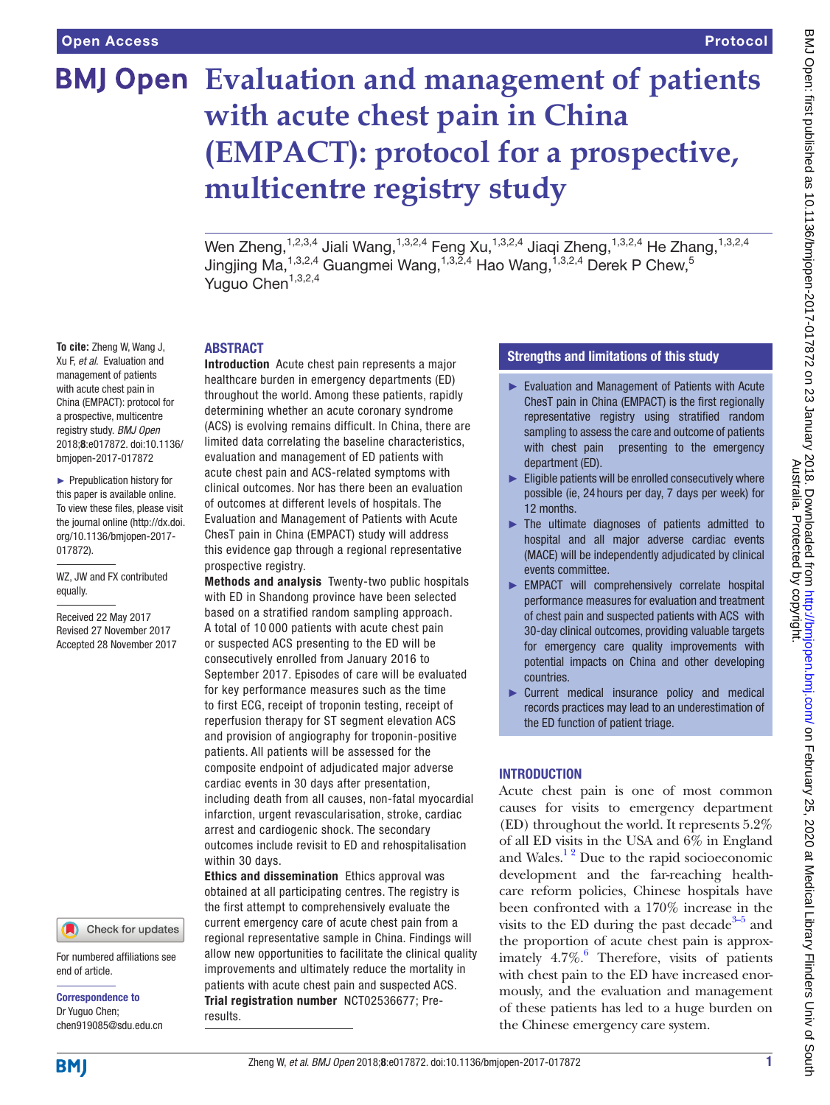# **BMJ Open** Evaluation and management of patients **with acute chest pain in China (EMPACT): protocol for a prospective, multicentre registry study**

Wen Zheng, $^{1,2,3,4}$  Jiali Wang, $^{1,3,2,4}$  Feng Xu, $^{1,3,2,4}$  Jiaqi Zheng, $^{1,3,2,4}$  He Zhang, $^{1,3,2,4}$ Jingjing Ma, $^{1,3,2,4}$  Guangmei Wang, $^{1,3,2,4}$  Hao Wang, $^{1,3,2,4}$  Derek P Chew, $^5$ Yuguo Chen $1,3,2,4$ 

#### **To cite:** Zheng W, Wang J, Xu F, *et al*. Evaluation and management of patients with acute chest pain in China (EMPACT): protocol for a prospective, multicentre registry study. *BMJ Open* 2018;8:e017872. doi:10.1136/ bmjopen-2017-017872

► Prepublication history for this paper is available online. To view these files, please visit the journal online [\(http://dx.doi.](http://dx.doi.org/10.1136/bmjopen-2017-017872) [org/10.1136/bmjopen-2017-](http://dx.doi.org/10.1136/bmjopen-2017-017872) [017872\)](http://dx.doi.org/10.1136/bmjopen-2017-017872).

WZ, JW and FX contributed equally.

Received 22 May 2017 Revised 27 November 2017 Accepted 28 November 2017



For numbered affiliations see end of article.

Correspondence to Dr Yuguo Chen; chen919085@sdu.edu.cn

## **ABSTRACT**

Introduction Acute chest pain represents a major healthcare burden in emergency departments (ED) throughout the world. Among these patients, rapidly determining whether an acute coronary syndrome (ACS) is evolving remains difficult. In China, there are limited data correlating the baseline characteristics, evaluation and management of ED patients with acute chest pain and ACS-related symptoms with clinical outcomes. Nor has there been an evaluation of outcomes at different levels of hospitals. The Evaluation and Management of Patients with Acute ChesT pain in China (EMPACT) study will address this evidence gap through a regional representative prospective registry.

Methods and analysis Twenty-two public hospitals with ED in Shandong province have been selected based on a stratified random sampling approach. A total of 10 000 patients with acute chest pain or suspected ACS presenting to the ED will be consecutively enrolled from January 2016 to September 2017. Episodes of care will be evaluated for key performance measures such as the time to first ECG, receipt of troponin testing, receipt of reperfusion therapy for ST segment elevation ACS and provision of angiography for troponin-positive patients. All patients will be assessed for the composite endpoint of adjudicated major adverse cardiac events in 30 days after presentation, including death from all causes, non-fatal myocardial infarction, urgent revascularisation, stroke, cardiac arrest and cardiogenic shock. The secondary outcomes include revisit to ED and rehospitalisation within 30 days.

Ethics and dissemination Ethics approval was obtained at all participating centres. The registry is the first attempt to comprehensively evaluate the current emergency care of acute chest pain from a regional representative sample in China. Findings will allow new opportunities to facilitate the clinical quality improvements and ultimately reduce the mortality in patients with acute chest pain and suspected ACS. Trial registration number <NCT02536677>; Preresults.

#### Strengths and limitations of this study

- ► Evaluation and Management of Patients with Acute ChesT pain in China (EMPACT) is the first regionally representative registry using stratified random sampling to assess the care and outcome of patients with chest pain presenting to the emergency department (ED).
- ► Eligible patients will be enrolled consecutively where possible (ie, 24 hours per day, 7 days per week) for 12 months.
- ► The ultimate diagnoses of patients admitted to hospital and all major adverse cardiac events (MACE) will be independently adjudicated by clinical events committee.
- ► EMPACT will comprehensively correlate hospital performance measures for evaluation and treatment of chest pain and suspected patients with ACS with 30-day clinical outcomes, providing valuable targets for emergency care quality improvements with potential impacts on China and other developing countries.
- ► Current medical insurance policy and medical records practices may lead to an underestimation of the ED function of patient triage.

## **INTRODUCTION**

Acute chest pain is one of most common causes for visits to emergency department (ED) throughout the world. It represents 5.2% of all ED visits in the USA and 6% in England and Wales. $^{12}$  Due to the rapid socioeconomic development and the far-reaching healthcare reform policies, Chinese hospitals have been confronted with a 170% increase in the visits to the ED during the past decade<sup>3–5</sup> and the proportion of acute chest pain is approximately 4.7%.<sup>6</sup> Therefore, visits of patients with chest pain to the ED have increased enormously, and the evaluation and management of these patients has led to a huge burden on the Chinese emergency care system.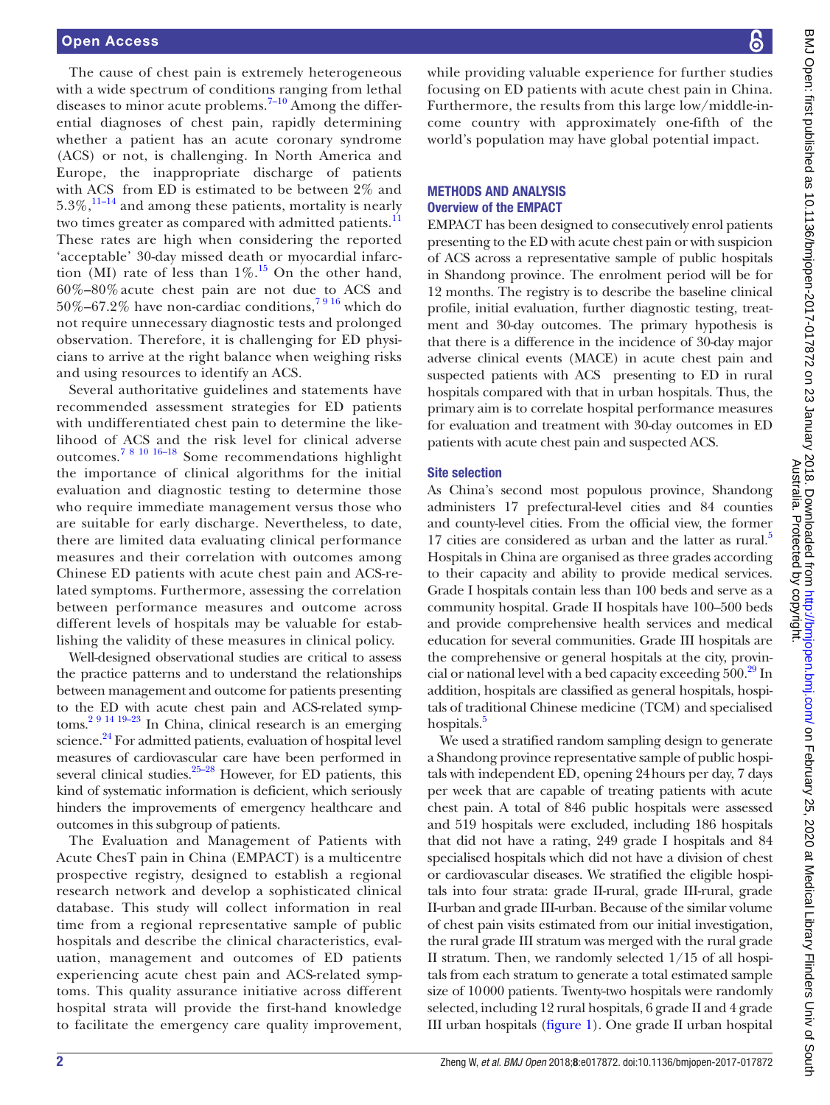The cause of chest pain is extremely heterogeneous with a wide spectrum of conditions ranging from lethal diseases to minor acute problems.<sup>7-10</sup> Among the differential diagnoses of chest pain, rapidly determining whether a patient has an acute coronary syndrome (ACS) or not, is challenging. In North America and Europe, the inappropriate discharge of patients with ACS from ED is estimated to be between 2% and  $5.3\%$ ,  $^{11-14}$  and among these patients, mortality is nearly two times greater as compared with admitted patients.<sup>[11](#page-6-4)</sup> These rates are high when considering the reported 'acceptable' 30-day missed death or myocardial infarction (MI) rate of less than  $1\%$ .<sup>[15](#page-6-5)</sup> On the other hand, 60%–80% acute chest pain are not due to ACS and 50%–67.2% have non-cardiac conditions,<sup>7916</sup> which do not require unnecessary diagnostic tests and prolonged observation. Therefore, it is challenging for ED physicians to arrive at the right balance when weighing risks and using resources to identify an ACS.

Several authoritative guidelines and statements have recommended assessment strategies for ED patients with undifferentiated chest pain to determine the likelihood of ACS and the risk level for clinical adverse outcomes.[7 8 10 16–18](#page-6-3) Some recommendations highlight the importance of clinical algorithms for the initial evaluation and diagnostic testing to determine those who require immediate management versus those who are suitable for early discharge. Nevertheless, to date, there are limited data evaluating clinical performance measures and their correlation with outcomes among Chinese ED patients with acute chest pain and ACS-related symptoms. Furthermore, assessing the correlation between performance measures and outcome across different levels of hospitals may be valuable for establishing the validity of these measures in clinical policy.

Well-designed observational studies are critical to assess the practice patterns and to understand the relationships between management and outcome for patients presenting to the ED with acute chest pain and ACS-related symptoms[.2 9 14 19–23](#page-6-6) In China, clinical research is an emerging science.<sup>24</sup> For admitted patients, evaluation of hospital level measures of cardiovascular care have been performed in several clinical studies. $25-28$  However, for ED patients, this kind of systematic information is deficient, which seriously hinders the improvements of emergency healthcare and outcomes in this subgroup of patients.

The Evaluation and Management of Patients with Acute ChesT pain in China (EMPACT) is a multicentre prospective registry, designed to establish a regional research network and develop a sophisticated clinical database. This study will collect information in real time from a regional representative sample of public hospitals and describe the clinical characteristics, evaluation, management and outcomes of ED patients experiencing acute chest pain and ACS-related symptoms. This quality assurance initiative across different hospital strata will provide the first-hand knowledge to facilitate the emergency care quality improvement,

while providing valuable experience for further studies focusing on ED patients with acute chest pain in China. Furthermore, the results from this large low/middle-income country with approximately one-fifth of the world's population may have global potential impact.

#### Methods and analysis Overview of the EMPACT

EMPACT has been designed to consecutively enrol patients presenting to the ED with acute chest pain or with suspicion of ACS across a representative sample of public hospitals in Shandong province. The enrolment period will be for 12 months. The registry is to describe the baseline clinical profile, initial evaluation, further diagnostic testing, treatment and 30-day outcomes. The primary hypothesis is that there is a difference in the incidence of 30-day major adverse clinical events (MACE) in acute chest pain and suspected patients with ACS presenting to ED in rural hospitals compared with that in urban hospitals. Thus, the primary aim is to correlate hospital performance measures for evaluation and treatment with 30-day outcomes in ED patients with acute chest pain and suspected ACS.

#### Site selection

As China's second most populous province, Shandong administers 17 prefectural-level cities and 84 counties and county-level cities. From the official view, the former 17 cities are considered as urban and the latter as rural.<sup>5</sup> Hospitals in China are organised as three grades according to their capacity and ability to provide medical services. Grade I hospitals contain less than 100 beds and serve as a community hospital. Grade II hospitals have 100–500 beds and provide comprehensive health services and medical education for several communities. Grade III hospitals are the comprehensive or general hospitals at the city, provincial or national level with a bed capacity exceeding  $500<sup>29</sup>$  In addition, hospitals are classified as general hospitals, hospitals of traditional Chinese medicine (TCM) and specialised hospitals.<sup>5</sup>

We used a stratified random sampling design to generate a Shandong province representative sample of public hospitals with independent ED, opening 24hours per day, 7 days per week that are capable of treating patients with acute chest pain. A total of 846 public hospitals were assessed and 519 hospitals were excluded, including 186 hospitals that did not have a rating, 249 grade I hospitals and 84 specialised hospitals which did not have a division of chest or cardiovascular diseases. We stratified the eligible hospitals into four strata: grade II-rural, grade III-rural, grade II-urban and grade III-urban. Because of the similar volume of chest pain visits estimated from our initial investigation, the rural grade III stratum was merged with the rural grade II stratum. Then, we randomly selected 1/15 of all hospitals from each stratum to generate a total estimated sample size of 10000 patients. Twenty-two hospitals were randomly selected, including 12 rural hospitals, 6 grade II and 4 grade III urban hospitals [\(figure](#page-2-0) 1). One grade II urban hospital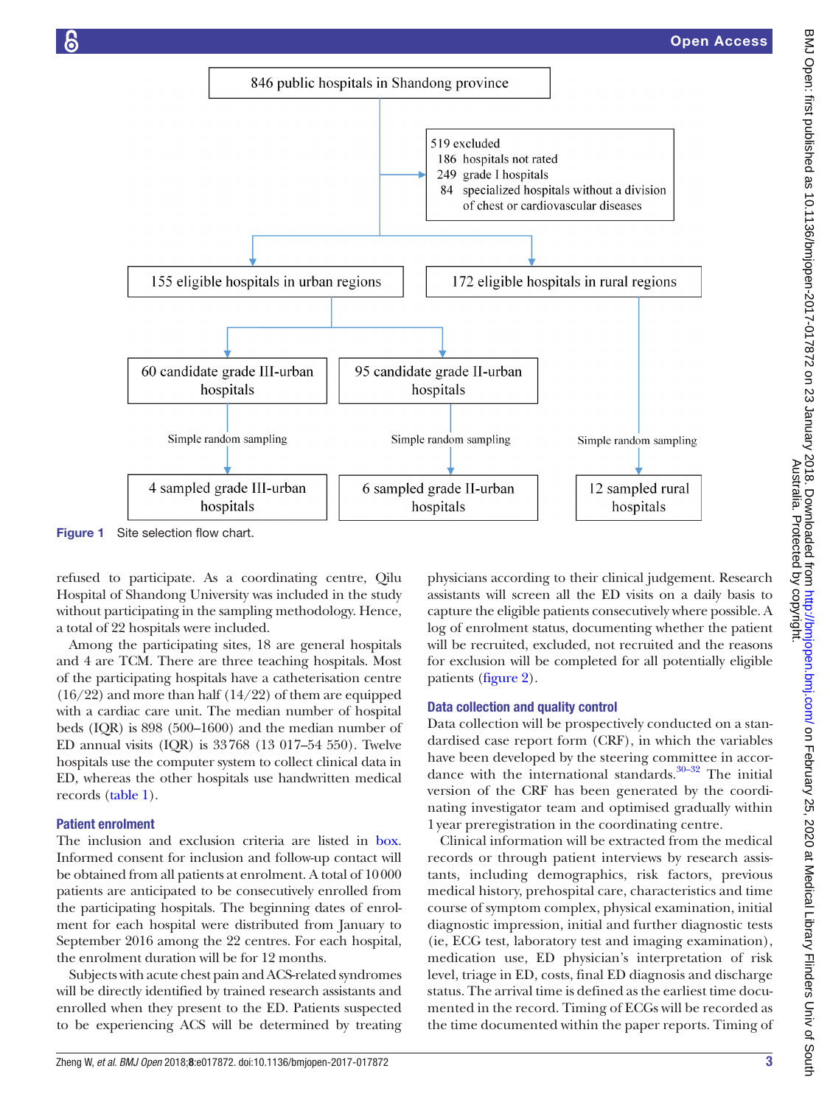

<span id="page-2-0"></span>Figure 1 Site selection flow chart.

refused to participate. As a coordinating centre, Qilu Hospital of Shandong University was included in the study without participating in the sampling methodology. Hence, a total of 22 hospitals were included.

Among the participating sites, 18 are general hospitals and 4 are TCM. There are three teaching hospitals. Most of the participating hospitals have a catheterisation centre  $(16/22)$  and more than half  $(14/22)$  of them are equipped with a cardiac care unit. The median number of hospital beds (IQR) is 898 (500–1600) and the median number of ED annual visits (IQR) is 33768 (13 017–54 550). Twelve hospitals use the computer system to collect clinical data in ED, whereas the other hospitals use handwritten medical records ([table](#page-3-0) 1).

## Patient enrolment

The inclusion and exclusion criteria are listed in [box.](#page-3-1) Informed consent for inclusion and follow-up contact will be obtained from all patients at enrolment. A total of 10000 patients are anticipated to be consecutively enrolled from the participating hospitals. The beginning dates of enrolment for each hospital were distributed from January to September 2016 among the 22 centres. For each hospital, the enrolment duration will be for 12 months.

Subjects with acute chest pain and ACS-related syndromes will be directly identified by trained research assistants and enrolled when they present to the ED. Patients suspected to be experiencing ACS will be determined by treating

physicians according to their clinical judgement. Research assistants will screen all the ED visits on a daily basis to capture the eligible patients consecutively where possible. A log of enrolment status, documenting whether the patient will be recruited, excluded, not recruited and the reasons for exclusion will be completed for all potentially eligible patients ([figure](#page-3-2) 2).

#### Data collection and quality control

Data collection will be prospectively conducted on a standardised case report form (CRF), in which the variables have been developed by the steering committee in accordance with the international standards. $30-32$  The initial version of the CRF has been generated by the coordinating investigator team and optimised gradually within 1year preregistration in the coordinating centre.

Clinical information will be extracted from the medical records or through patient interviews by research assistants, including demographics, risk factors, previous medical history, prehospital care, characteristics and time course of symptom complex, physical examination, initial diagnostic impression, initial and further diagnostic tests (ie, ECG test, laboratory test and imaging examination), medication use, ED physician's interpretation of risk level, triage in ED, costs, final ED diagnosis and discharge status. The arrival time is defined as the earliest time documented in the record. Timing of ECGs will be recorded as the time documented within the paper reports. Timing of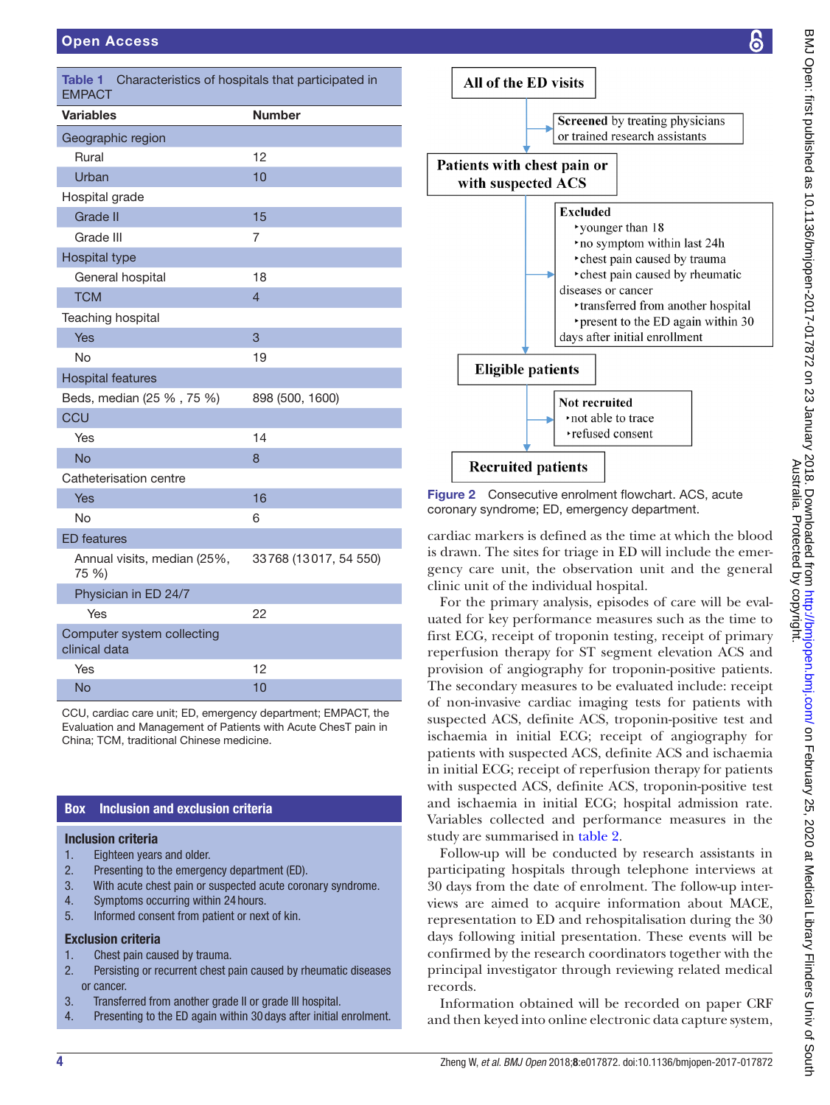<span id="page-3-0"></span>

| <b>Table 1</b><br>Characteristics of hospitals that participated in<br><b>EMPACT</b> |                       |
|--------------------------------------------------------------------------------------|-----------------------|
| <b>Variables</b>                                                                     | <b>Number</b>         |
| Geographic region                                                                    |                       |
| Rural                                                                                | 12                    |
| Urban                                                                                | 10                    |
| Hospital grade                                                                       |                       |
| Grade II                                                                             | 15                    |
| Grade III                                                                            | 7                     |
| Hospital type                                                                        |                       |
| General hospital                                                                     | 18                    |
| <b>TCM</b>                                                                           | $\overline{4}$        |
| Teaching hospital                                                                    |                       |
| Yes                                                                                  | 3                     |
| <b>No</b>                                                                            | 19                    |
| <b>Hospital features</b>                                                             |                       |
| Beds, median (25 %, 75 %)                                                            | 898 (500, 1600)       |
| CCU                                                                                  |                       |
| Yes                                                                                  | 14                    |
| <b>No</b>                                                                            | 8                     |
| Catheterisation centre                                                               |                       |
| Yes                                                                                  | 16                    |
| <b>No</b>                                                                            | 6                     |
| <b>ED</b> features                                                                   |                       |
| Annual visits, median (25%,<br>75 %)                                                 | 33768 (13017, 54 550) |
| Physician in ED 24/7                                                                 |                       |
| Yes                                                                                  | 22                    |
| Computer system collecting<br>clinical data                                          |                       |
| Yes                                                                                  | 12                    |
| No                                                                                   | 10                    |

CCU, cardiac care unit; ED, emergency department; EMPACT, the Evaluation and Management of Patients with Acute ChesT pain in China; TCM, traditional Chinese medicine.

# Box Inclusion and exclusion criteria

## <span id="page-3-1"></span>Inclusion criteria

- 1. Eighteen years and older.
- 2. Presenting to the emergency department (ED).
- 3. With acute chest pain or suspected acute coronary syndrome.
- 4. Symptoms occurring within 24 hours.
- 5. Informed consent from patient or next of kin.

#### Exclusion criteria

- 1. Chest pain caused by trauma.
- 2. Persisting or recurrent chest pain caused by rheumatic diseases or cancer.
- 3. Transferred from another grade II or grade III hospital.
- 4. Presenting to the ED again within 30 days after initial enrolment.



<span id="page-3-2"></span>Figure 2 Consecutive enrolment flowchart. ACS, acute coronary syndrome; ED, emergency department.

cardiac markers is defined as the time at which the blood is drawn. The sites for triage in ED will include the emergency care unit, the observation unit and the general clinic unit of the individual hospital.

For the primary analysis, episodes of care will be evaluated for key performance measures such as the time to first ECG, receipt of troponin testing, receipt of primary reperfusion therapy for ST segment elevation ACS and provision of angiography for troponin-positive patients. The secondary measures to be evaluated include: receipt of non-invasive cardiac imaging tests for patients with suspected ACS, definite ACS, troponin-positive test and ischaemia in initial ECG; receipt of angiography for patients with suspected ACS, definite ACS and ischaemia in initial ECG; receipt of reperfusion therapy for patients with suspected ACS, definite ACS, troponin-positive test and ischaemia in initial ECG; hospital admission rate. Variables collected and performance measures in the study are summarised in [table](#page-4-0) 2.

Follow-up will be conducted by research assistants in participating hospitals through telephone interviews at 30 days from the date of enrolment. The follow-up interviews are aimed to acquire information about MACE, representation to ED and rehospitalisation during the 30 days following initial presentation. These events will be confirmed by the research coordinators together with the principal investigator through reviewing related medical records.

Information obtained will be recorded on paper CRF and then keyed into online electronic data capture system,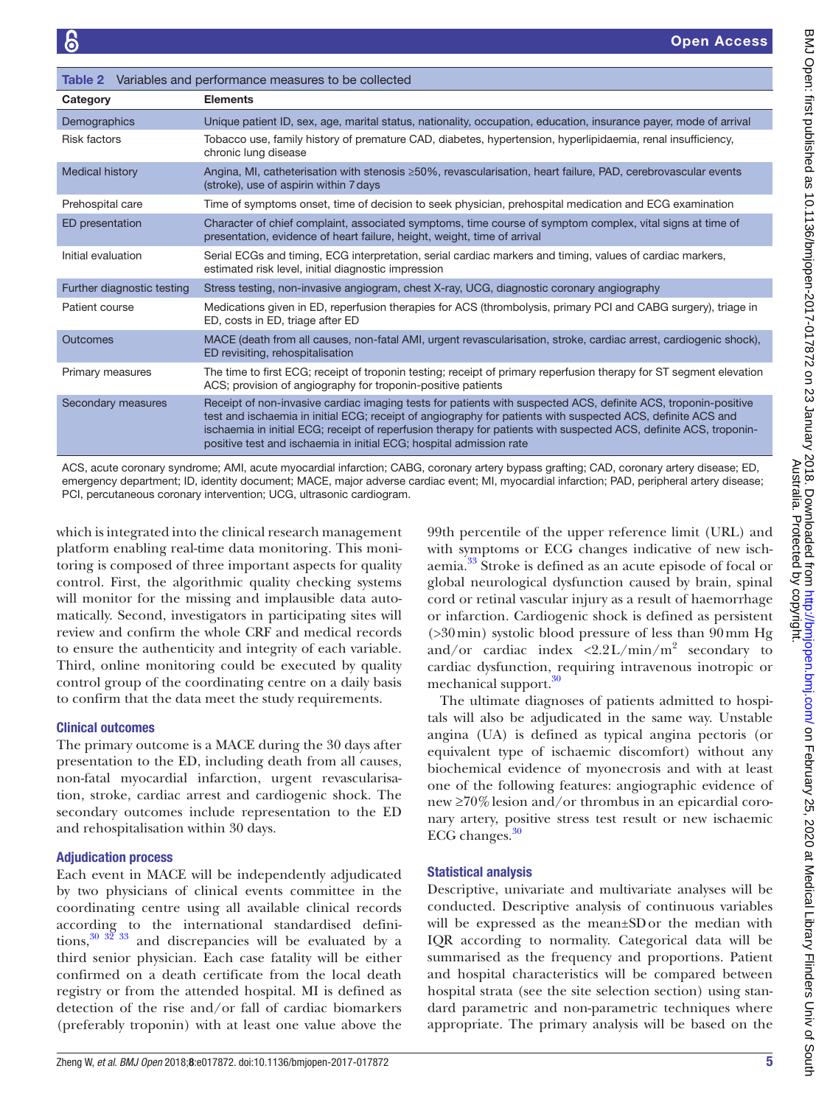<span id="page-4-0"></span>

| Variables and performance measures to be collected<br>Table 2 |                                                                                                                                                                                                                                                                                                                                                                                                                           |  |
|---------------------------------------------------------------|---------------------------------------------------------------------------------------------------------------------------------------------------------------------------------------------------------------------------------------------------------------------------------------------------------------------------------------------------------------------------------------------------------------------------|--|
| Category                                                      | <b>Elements</b>                                                                                                                                                                                                                                                                                                                                                                                                           |  |
| Demographics                                                  | Unique patient ID, sex, age, marital status, nationality, occupation, education, insurance payer, mode of arrival                                                                                                                                                                                                                                                                                                         |  |
| <b>Risk factors</b>                                           | Tobacco use, family history of premature CAD, diabetes, hypertension, hyperlipidaemia, renal insufficiency,<br>chronic lung disease                                                                                                                                                                                                                                                                                       |  |
| <b>Medical history</b>                                        | Angina, MI, catheterisation with stenosis ≥50%, revascularisation, heart failure, PAD, cerebrovascular events<br>(stroke), use of aspirin within 7 days                                                                                                                                                                                                                                                                   |  |
| Prehospital care                                              | Time of symptoms onset, time of decision to seek physician, prehospital medication and ECG examination                                                                                                                                                                                                                                                                                                                    |  |
| ED presentation                                               | Character of chief complaint, associated symptoms, time course of symptom complex, vital signs at time of<br>presentation, evidence of heart failure, height, weight, time of arrival                                                                                                                                                                                                                                     |  |
| Initial evaluation                                            | Serial ECGs and timing, ECG interpretation, serial cardiac markers and timing, values of cardiac markers,<br>estimated risk level, initial diagnostic impression                                                                                                                                                                                                                                                          |  |
| Further diagnostic testing                                    | Stress testing, non-invasive angiogram, chest X-ray, UCG, diagnostic coronary angiography                                                                                                                                                                                                                                                                                                                                 |  |
| Patient course                                                | Medications given in ED, reperfusion therapies for ACS (thrombolysis, primary PCI and CABG surgery), triage in<br>ED, costs in ED, triage after ED                                                                                                                                                                                                                                                                        |  |
| Outcomes                                                      | MACE (death from all causes, non-fatal AMI, urgent revascularisation, stroke, cardiac arrest, cardiogenic shock),<br>ED revisiting, rehospitalisation                                                                                                                                                                                                                                                                     |  |
| Primary measures                                              | The time to first ECG; receipt of troponin testing; receipt of primary reperfusion therapy for ST segment elevation<br>ACS; provision of angiography for troponin-positive patients                                                                                                                                                                                                                                       |  |
| Secondary measures                                            | Receipt of non-invasive cardiac imaging tests for patients with suspected ACS, definite ACS, troponin-positive<br>test and ischaemia in initial ECG; receipt of angiography for patients with suspected ACS, definite ACS and<br>ischaemia in initial ECG; receipt of reperfusion therapy for patients with suspected ACS, definite ACS, troponin-<br>positive test and ischaemia in initial ECG; hospital admission rate |  |

ACS, acute coronary syndrome; AMI, acute myocardial infarction; CABG, coronary artery bypass grafting; CAD, coronary artery disease; ED, emergency department; ID, identity document; MACE, major adverse cardiac event; MI, myocardial infarction; PAD, peripheral artery disease; PCI, percutaneous coronary intervention; UCG, ultrasonic cardiogram.

which is integrated into the clinical research management platform enabling real-time data monitoring. This monitoring is composed of three important aspects for quality control. First, the algorithmic quality checking systems will monitor for the missing and implausible data automatically. Second, investigators in participating sites will review and confirm the whole CRF and medical records to ensure the authenticity and integrity of each variable. Third, online monitoring could be executed by quality control group of the coordinating centre on a daily basis to confirm that the data meet the study requirements.

## Clinical outcomes

The primary outcome is a MACE during the 30 days after presentation to the ED, including death from all causes, non-fatal myocardial infarction, urgent revascularisation, stroke, cardiac arrest and cardiogenic shock. The secondary outcomes include representation to the ED and rehospitalisation within 30 days.

# Adjudication process

Each event in MACE will be independently adjudicated by two physicians of clinical events committee in the coordinating centre using all available clinical records according to the international standardised definitions,  $30^{30}$   $3\overline{2}$   $33$  and discrepancies will be evaluated by a third senior physician. Each case fatality will be either confirmed on a death certificate from the local death registry or from the attended hospital. MI is defined as detection of the rise and/or fall of cardiac biomarkers (preferably troponin) with at least one value above the

99th percentile of the upper reference limit (URL) and with symptoms or ECG changes indicative of new ischaemia[.33](#page-6-12) Stroke is defined as an acute episode of focal or global neurological dysfunction caused by brain, spinal cord or retinal vascular injury as a result of haemorrhage or infarction. Cardiogenic shock is defined as persistent (>30min) systolic blood pressure of less than 90mm Hg and/or cardiac index <2.2L/min/ $m^2$  secondary to cardiac dysfunction, requiring intravenous inotropic or mechanical support.<sup>[30](#page-6-11)</sup>

The ultimate diagnoses of patients admitted to hospitals will also be adjudicated in the same way. Unstable angina (UA) is defined as typical angina pectoris (or equivalent type of ischaemic discomfort) without any biochemical evidence of myonecrosis and with at least one of the following features: angiographic evidence of new ≥70%lesion and/or thrombus in an epicardial coronary artery, positive stress test result or new ischaemic ECG changes. $30$ 

# Statistical analysis

Descriptive, univariate and multivariate analyses will be conducted. Descriptive analysis of continuous variables will be expressed as the mean±SDor the median with IQR according to normality. Categorical data will be summarised as the frequency and proportions. Patient and hospital characteristics will be compared between hospital strata (see the site selection section) using standard parametric and non-parametric techniques where appropriate. The primary analysis will be based on the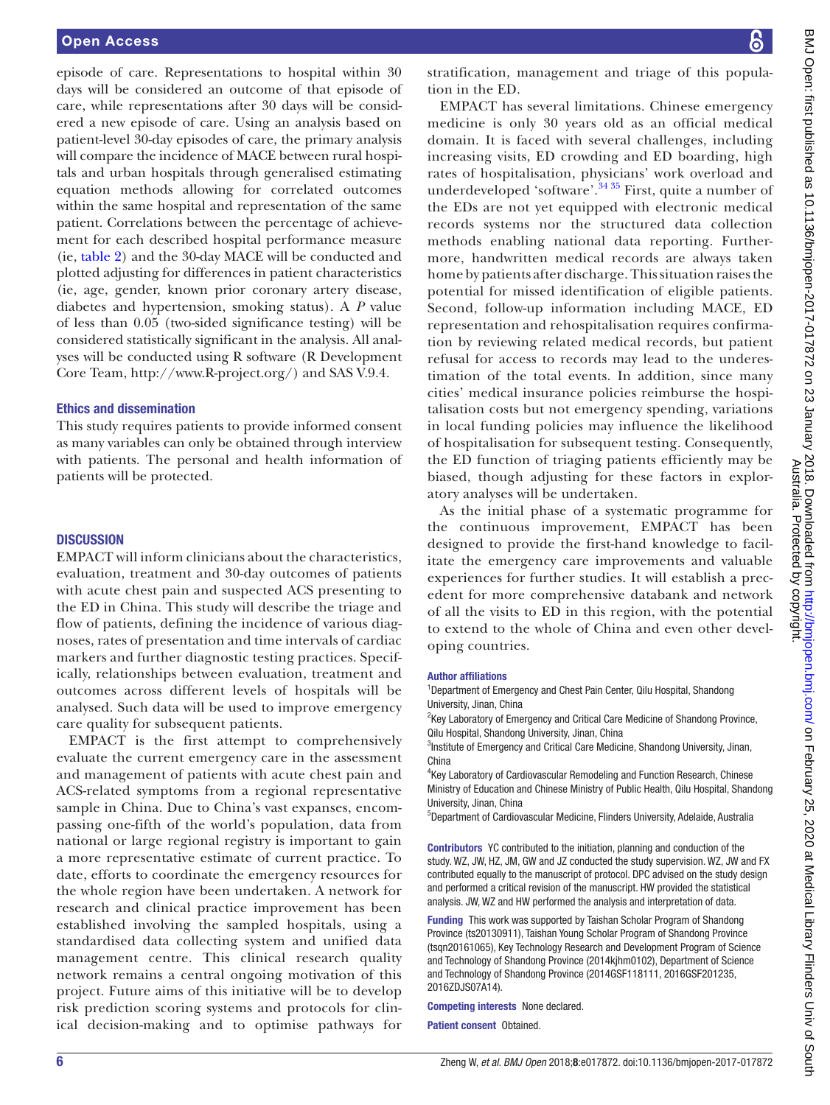episode of care. Representations to hospital within 30 days will be considered an outcome of that episode of care, while representations after 30 days will be considered a new episode of care. Using an analysis based on patient-level 30-day episodes of care, the primary analysis will compare the incidence of MACE between rural hospitals and urban hospitals through generalised estimating equation methods allowing for correlated outcomes within the same hospital and representation of the same patient. Correlations between the percentage of achievement for each described hospital performance measure (ie, [table](#page-4-0) 2) and the 30-day MACE will be conducted and plotted adjusting for differences in patient characteristics (ie, age, gender, known prior coronary artery disease, diabetes and hypertension, smoking status). A *P* value of less than 0.05 (two-sided significance testing) will be considered statistically significant in the analysis. All analyses will be conducted using R software (R Development Core Team, <http://www.R-project.org/>) and SAS V.9.4.

#### Ethics and dissemination

This study requires patients to provide informed consent as many variables can only be obtained through interview with patients. The personal and health information of patients will be protected.

#### **DISCUSSION**

EMPACT will inform clinicians about the characteristics, evaluation, treatment and 30-day outcomes of patients with acute chest pain and suspected ACS presenting to the ED in China. This study will describe the triage and flow of patients, defining the incidence of various diagnoses, rates of presentation and time intervals of cardiac markers and further diagnostic testing practices. Specifically, relationships between evaluation, treatment and outcomes across different levels of hospitals will be analysed. Such data will be used to improve emergency care quality for subsequent patients.

EMPACT is the first attempt to comprehensively evaluate the current emergency care in the assessment and management of patients with acute chest pain and ACS-related symptoms from a regional representative sample in China. Due to China's vast expanses, encompassing one-fifth of the world's population, data from national or large regional registry is important to gain a more representative estimate of current practice. To date, efforts to coordinate the emergency resources for the whole region have been undertaken. A network for research and clinical practice improvement has been established involving the sampled hospitals, using a standardised data collecting system and unified data management centre. This clinical research quality network remains a central ongoing motivation of this project. Future aims of this initiative will be to develop risk prediction scoring systems and protocols for clinical decision-making and to optimise pathways for

stratification, management and triage of this population in the ED.

EMPACT has several limitations. Chinese emergency medicine is only 30 years old as an official medical domain. It is faced with several challenges, including increasing visits, ED crowding and ED boarding, high rates of hospitalisation, physicians' work overload and underdeveloped 'software'.<sup>[34 35](#page-6-13)</sup> First, quite a number of the EDs are not yet equipped with electronic medical records systems nor the structured data collection methods enabling national data reporting. Furthermore, handwritten medical records are always taken home by patients after discharge. This situation raises the potential for missed identification of eligible patients. Second, follow-up information including MACE, ED representation and rehospitalisation requires confirmation by reviewing related medical records, but patient refusal for access to records may lead to the underestimation of the total events. In addition, since many cities' medical insurance policies reimburse the hospitalisation costs but not emergency spending, variations in local funding policies may influence the likelihood of hospitalisation for subsequent testing. Consequently, the ED function of triaging patients efficiently may be biased, though adjusting for these factors in exploratory analyses will be undertaken.

As the initial phase of a systematic programme for the continuous improvement, EMPACT has been designed to provide the first-hand knowledge to facilitate the emergency care improvements and valuable experiences for further studies. It will establish a precedent for more comprehensive databank and network of all the visits to ED in this region, with the potential to extend to the whole of China and even other developing countries.

#### Author affiliations

<sup>1</sup>Department of Emergency and Chest Pain Center, Qilu Hospital, Shandong University, Jinan, China

<sup>2</sup>Key Laboratory of Emergency and Critical Care Medicine of Shandong Province, Qilu Hospital, Shandong University, Jinan, China

<sup>3</sup>Institute of Emergency and Critical Care Medicine, Shandong University, Jinan, China

4 Key Laboratory of Cardiovascular Remodeling and Function Research, Chinese Ministry of Education and Chinese Ministry of Public Health, Qilu Hospital, Shandong University, Jinan, China

5 Department of Cardiovascular Medicine, Flinders University, Adelaide, Australia

Contributors YC contributed to the initiation, planning and conduction of the study. WZ, JW, HZ, JM, GW and JZ conducted the study supervision. WZ, JW and FX contributed equally to the manuscript of protocol. DPC advised on the study design and performed a critical revision of the manuscript. HW provided the statistical analysis. JW, WZ and HW performed the analysis and interpretation of data.

Funding This work was supported by Taishan Scholar Program of Shandong Province (ts20130911), Taishan Young Scholar Program of Shandong Province (tsqn20161065), Key Technology Research and Development Program of Science and Technology of Shandong Province (2014kjhm0102), Department of Science and Technology of Shandong Province (2014GSF118111, 2016GSF201235, 2016ZDJS07A14).

Competing interests None declared.

Patient consent Obtained.